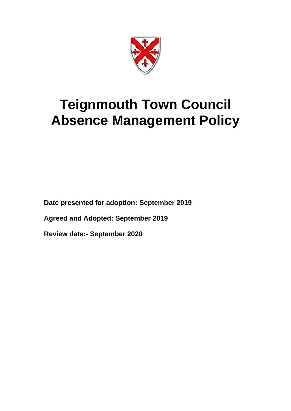

# **Teignmouth Town Council Absence Management Policy**

**Date presented for adoption: September 2019**

**Agreed and Adopted: September 2019**

**Review date:- September 2020**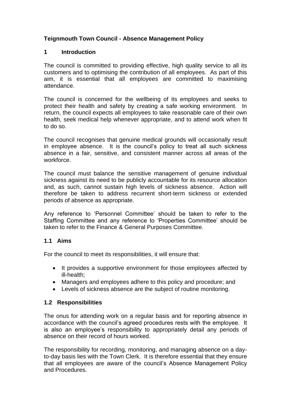# **Teignmouth Town Council - Absence Management Policy**

#### **1 Introduction**

The council is committed to providing effective, high quality service to all its customers and to optimising the contribution of all employees. As part of this aim, it is essential that all employees are committed to maximising attendance.

The council is concerned for the wellbeing of its employees and seeks to protect their health and safety by creating a safe working environment. In return, the council expects all employees to take reasonable care of their own health, seek medical help whenever appropriate, and to attend work when fit to do so.

The council recognises that genuine medical grounds will occasionally result in employee absence. It is the council's policy to treat all such sickness absence in a fair, sensitive, and consistent manner across all areas of the workforce.

The council must balance the sensitive management of genuine individual sickness against its need to be publicly accountable for its resource allocation and, as such, cannot sustain high levels of sickness absence. Action will therefore be taken to address recurrent short-term sickness or extended periods of absence as appropriate.

Any reference to 'Personnel Committee' should be taken to refer to the Staffing Committee and any reference to 'Properties Committee' should be taken to refer to the Finance & General Purposes Committee.

#### **1.1 Aims**

For the council to meet its responsibilities, it will ensure that:

- It provides a supportive environment for those employees affected by ill-health;
- Managers and employees adhere to this policy and procedure; and
- Levels of sickness absence are the subject of routine monitoring.

#### **1.2 Responsibilities**

The onus for attending work on a regular basis and for reporting absence in accordance with the council's agreed procedures rests with the employee. It is also an employee's responsibility to appropriately detail any periods of absence on their record of hours worked.

The responsibility for recording, monitoring, and managing absence on a dayto-day basis lies with the Town Clerk. It is therefore essential that they ensure that all employees are aware of the council's Absence Management Policy and Procedures.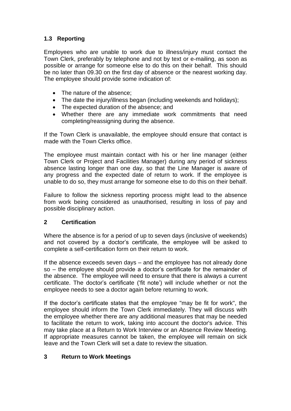# **1.3 Reporting**

Employees who are unable to work due to illness/injury must contact the Town Clerk, preferably by telephone and not by text or e-mailing, as soon as possible or arrange for someone else to do this on their behalf. This should be no later than 09.30 on the first day of absence or the nearest working day. The employee should provide some indication of:

- The nature of the absence;
- The date the injury/illness began (including weekends and holidays);
- The expected duration of the absence; and
- Whether there are any immediate work commitments that need completing/reassigning during the absence.

If the Town Clerk is unavailable, the employee should ensure that contact is made with the Town Clerks office.

The employee must maintain contact with his or her line manager (either Town Clerk or Project and Facilities Manager) during any period of sickness absence lasting longer than one day, so that the Line Manager is aware of any progress and the expected date of return to work. If the employee is unable to do so, they must arrange for someone else to do this on their behalf.

Failure to follow the sickness reporting process might lead to the absence from work being considered as unauthorised, resulting in loss of pay and possible disciplinary action.

## **2 Certification**

Where the absence is for a period of up to seven days (inclusive of weekends) and not covered by a doctor's certificate, the employee will be asked to complete a self-certification form on their return to work.

If the absence exceeds seven days – and the employee has not already done so – the employee should provide a doctor's certificate for the remainder of the absence. The employee will need to ensure that there is always a current certificate. The doctor's certificate ('fit note') will include whether or not the employee needs to see a doctor again before returning to work.

If the doctor's certificate states that the employee "may be fit for work", the employee should inform the Town Clerk immediately. They will discuss with the employee whether there are any additional measures that may be needed to facilitate the return to work, taking into account the doctor's advice. This may take place at a Return to Work Interview or an Absence Review Meeting. If appropriate measures cannot be taken, the employee will remain on sick leave and the Town Clerk will set a date to review the situation.

# **3 Return to Work Meetings**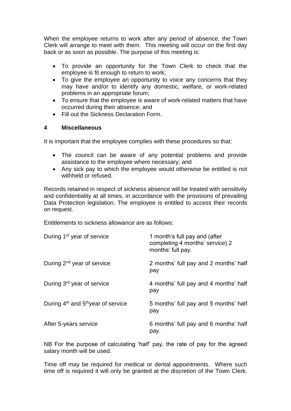When the employee returns to work after any period of absence, the Town Clerk will arrange to meet with them. This meeting will occur on the first day back or as soon as possible. The purpose of this meeting is:

- To provide an opportunity for the Town Clerk to check that the employee is fit enough to return to work;
- To give the employee an opportunity to voice any concerns that they may have and/or to identify any domestic, welfare, or work-related problems in an appropriate forum;
- To ensure that the employee is aware of work-related matters that have occurred during their absence; and
- Fill out the Sickness Declaration Form.

## **4 Miscellaneous**

It is important that the employee complies with these procedures so that:

- The council can be aware of any potential problems and provide assistance to the employee where necessary; and
- Any sick pay to which the employee would otherwise be entitled is not withheld or refused.

Records retained in respect of sickness absence will be treated with sensitivity and confidentiality at all times, in accordance with the provisions of prevailing Data Protection legislation. The employee is entitled to access their records on request.

Entitlements to sickness allowance are as follows:

| During 1 <sup>st</sup> year of service                     | 1 month's full pay and (after<br>completing 4 months' service) 2<br>months' full pay. |
|------------------------------------------------------------|---------------------------------------------------------------------------------------|
| During $2^{nd}$ year of service                            | 2 months' full pay and 2 months' half<br>pay                                          |
| During 3 <sup>rd</sup> year of service                     | 4 months' full pay and 4 months' half<br>pay                                          |
| During 4 <sup>th</sup> and 5 <sup>th</sup> year of service | 5 months' full pay and 5 months' half<br>pay                                          |
| After 5-years service                                      | 6 months' full pay and 6 months' half<br>pay.                                         |

NB For the purpose of calculating 'half' pay, the rate of pay for the agreed salary month will be used.

Time off may be required for medical or dental appointments. Where such time off is required it will only be granted at the discretion of the Town Clerk.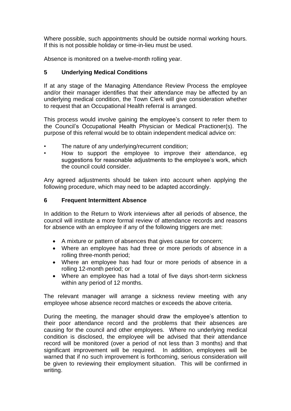Where possible, such appointments should be outside normal working hours. If this is not possible holiday or time-in-lieu must be used.

Absence is monitored on a twelve-month rolling year.

## **5 Underlying Medical Conditions**

If at any stage of the Managing Attendance Review Process the employee and/or their manager identifies that their attendance may be affected by an underlying medical condition, the Town Clerk will give consideration whether to request that an Occupational Health referral is arranged.

This process would involve gaining the employee's consent to refer them to the Council's Occupational Health Physician or Medical Practioner(s). The purpose of this referral would be to obtain independent medical advice on:

- The nature of any underlying/recurrent condition;
- How to support the employee to improve their attendance, eg suggestions for reasonable adjustments to the employee's work, which the council could consider.

Any agreed adjustments should be taken into account when applying the following procedure, which may need to be adapted accordingly.

## **6 Frequent Intermittent Absence**

In addition to the Return to Work interviews after all periods of absence, the council will institute a more formal review of attendance records and reasons for absence with an employee if any of the following triggers are met:

- A mixture or pattern of absences that gives cause for concern;
- Where an employee has had three or more periods of absence in a rolling three-month period;
- Where an employee has had four or more periods of absence in a rolling 12-month period; or
- Where an employee has had a total of five days short-term sickness within any period of 12 months.

The relevant manager will arrange a sickness review meeting with any employee whose absence record matches or exceeds the above criteria.

During the meeting, the manager should draw the employee's attention to their poor attendance record and the problems that their absences are causing for the council and other employees. Where no underlying medical condition is disclosed, the employee will be advised that their attendance record will be monitored (over a period of not less than 3 months) and that significant improvement will be required. In addition, employees will be warned that if no such improvement is forthcoming, serious consideration will be given to reviewing their employment situation. This will be confirmed in writing.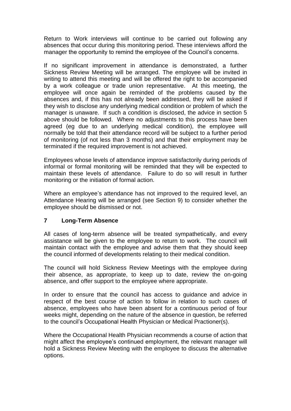Return to Work interviews will continue to be carried out following any absences that occur during this monitoring period. These interviews afford the manager the opportunity to remind the employee of the Council's concerns.

If no significant improvement in attendance is demonstrated, a further Sickness Review Meeting will be arranged. The employee will be invited in writing to attend this meeting and will be offered the right to be accompanied by a work colleague or trade union representative. At this meeting, the employee will once again be reminded of the problems caused by the absences and, if this has not already been addressed, they will be asked if they wish to disclose any underlying medical condition or problem of which the manager is unaware. If such a condition is disclosed, the advice in section 5 above should be followed. Where no adjustments to this process have been agreed (eg due to an underlying medical condition), the employee will normally be told that their attendance record will be subject to a further period of monitoring (of not less than 3 months) and that their employment may be terminated if the required improvement is not achieved.

Employees whose levels of attendance improve satisfactorily during periods of informal or formal monitoring will be reminded that they will be expected to maintain these levels of attendance. Failure to do so will result in further monitoring or the initiation of formal action.

Where an employee's attendance has not improved to the required level, an Attendance Hearing will be arranged (see Section 9) to consider whether the employee should be dismissed or not.

## **7 Long-Term Absence**

All cases of long-term absence will be treated sympathetically, and every assistance will be given to the employee to return to work. The council will maintain contact with the employee and advise them that they should keep the council informed of developments relating to their medical condition.

The council will hold Sickness Review Meetings with the employee during their absence, as appropriate, to keep up to date, review the on-going absence, and offer support to the employee where appropriate.

In order to ensure that the council has access to guidance and advice in respect of the best course of action to follow in relation to such cases of absence, employees who have been absent for a continuous period of four weeks might, depending on the nature of the absence in question, be referred to the council's Occupational Health Physician or Medical Practioner(s).

Where the Occupational Health Physician recommends a course of action that might affect the employee's continued employment, the relevant manager will hold a Sickness Review Meeting with the employee to discuss the alternative options.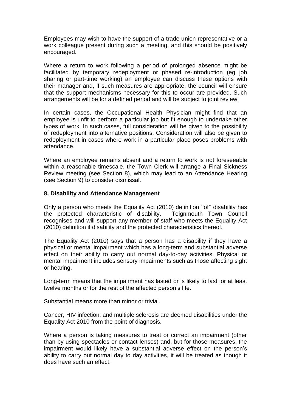Employees may wish to have the support of a trade union representative or a work colleague present during such a meeting, and this should be positively encouraged.

Where a return to work following a period of prolonged absence might be facilitated by temporary redeployment or phased re-introduction (eg job sharing or part-time working) an employee can discuss these options with their manager and, if such measures are appropriate, the council will ensure that the support mechanisms necessary for this to occur are provided. Such arrangements will be for a defined period and will be subject to joint review.

In certain cases, the Occupational Health Physician might find that an employee is unfit to perform a particular job but fit enough to undertake other types of work. In such cases, full consideration will be given to the possibility of redeployment into alternative positions. Consideration will also be given to redeployment in cases where work in a particular place poses problems with attendance.

Where an employee remains absent and a return to work is not foreseeable within a reasonable timescale, the Town Clerk will arrange a Final Sickness Review meeting (see Section 8), which may lead to an Attendance Hearing (see Section 9) to consider dismissal.

#### **8. Disability and Attendance Management**

Only a person who meets the Equality Act (2010) definition ''of'' disability has the protected characteristic of disability. Teignmouth Town Council recognises and will support any member of staff who meets the Equality Act (2010) definition if disability and the protected characteristics thereof.

The Equality Act (2010) says that a person has a disability if they have a physical or mental impairment which has a long-term and substantial adverse effect on their ability to carry out normal day-to-day activities. Physical or mental impairment includes sensory impairments such as those affecting sight or hearing.

Long-term means that the impairment has lasted or is likely to last for at least twelve months or for the rest of the affected person's life.

Substantial means more than minor or trivial.

Cancer, HIV infection, and multiple sclerosis are deemed disabilities under the Equality Act 2010 from the point of diagnosis.

Where a person is taking measures to treat or correct an impairment (other than by using spectacles or contact lenses) and, but for those measures, the impairment would likely have a substantial adverse effect on the person's ability to carry out normal day to day activities, it will be treated as though it does have such an effect.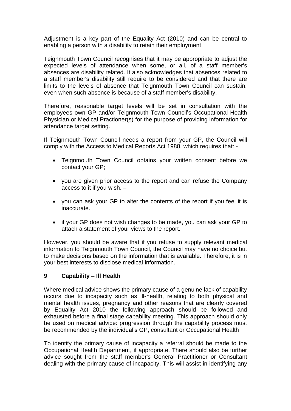Adjustment is a key part of the Equality Act (2010) and can be central to enabling a person with a disability to retain their employment

Teignmouth Town Council recognises that it may be appropriate to adjust the expected levels of attendance when some, or all, of a staff member's absences are disability related. It also acknowledges that absences related to a staff member's disability still require to be considered and that there are limits to the levels of absence that Teignmouth Town Council can sustain, even when such absence is because of a staff member's disability.

Therefore, reasonable target levels will be set in consultation with the employees own GP and/or Teignmouth Town Council's Occupational Health Physician or Medical Practioner(s) for the purpose of providing information for attendance target setting.

If Teignmouth Town Council needs a report from your GP, the Council will comply with the Access to Medical Reports Act 1988, which requires that: -

- Teignmouth Town Council obtains your written consent before we contact your GP;
- you are given prior access to the report and can refuse the Company access to it if you wish. –
- you can ask your GP to alter the contents of the report if you feel it is inaccurate.
- if your GP does not wish changes to be made, you can ask your GP to attach a statement of your views to the report.

However, you should be aware that if you refuse to supply relevant medical information to Teignmouth Town Council, the Council may have no choice but to make decisions based on the information that is available. Therefore, it is in your best interests to disclose medical information.

## **9 Capability – Ill Health**

Where medical advice shows the primary cause of a genuine lack of capability occurs due to incapacity such as ill-health, relating to both physical and mental health issues, pregnancy and other reasons that are clearly covered by Equality Act 2010 the following approach should be followed and exhausted before a final stage capability meeting. This approach should only be used on medical advice: progression through the capability process must be recommended by the individual's GP, consultant or Occupational Health

To identify the primary cause of incapacity a referral should be made to the Occupational Health Department, if appropriate. There should also be further advice sought from the staff member's General Practitioner or Consultant dealing with the primary cause of incapacity. This will assist in identifying any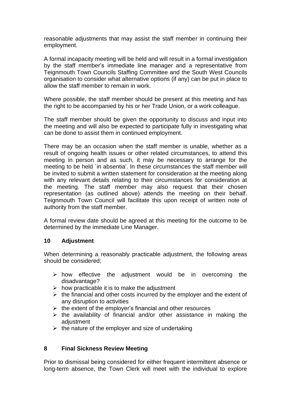reasonable adjustments that may assist the staff member in continuing their employment.

A formal incapacity meeting will be held and will result in a formal investigation by the staff member's immediate line manager and a representative from Teignmouth Town Councils Staffing Committee and the South West Councils organisation to consider what alternative options (if any) can be put in place to allow the staff member to remain in work.

Where possible, the staff member should be present at this meeting and has the right to be accompanied by his or her Trade Union, or a work colleague.

The staff member should be given the opportunity to discuss and input into the meeting and will also be expected to participate fully in investigating what can be done to assist them in continued employment.

There may be an occasion when the staff member is unable, whether as a result of ongoing health issues or other related circumstances, to attend this meeting in person and as such, it may be necessary to arrange for the meeting to be held `in absentia'. In these circumstances the staff member will be invited to submit a written statement for consideration at the meeting along with any relevant details relating to their circumstances for consideration at the meeting. The staff member may also request that their chosen representation (as outlined above) attends the meeting on their behalf. Teignmouth Town Council will facilitate this upon receipt of written note of authority from the staff member.

A formal review date should be agreed at this meeting for the outcome to be determined by the immediate Line Manager.

#### **10 Adjustment**

When determining a reasonably practicable adjustment, the following areas should be considered;

- $\triangleright$  how effective the adjustment would be in overcoming the disadvantage?
- $\triangleright$  how practicable it is to make the adjustment
- $\triangleright$  the financial and other costs incurred by the employer and the extent of any disruption to activities
- $\triangleright$  the extent of the employer's financial and other resources
- ➢ the availability of financial and/or other assistance in making the adiustment
- $\triangleright$  the nature of the employer and size of undertaking

## **8 Final Sickness Review Meeting**

Prior to dismissal being considered for either frequent intermittent absence or long-term absence, the Town Clerk will meet with the individual to explore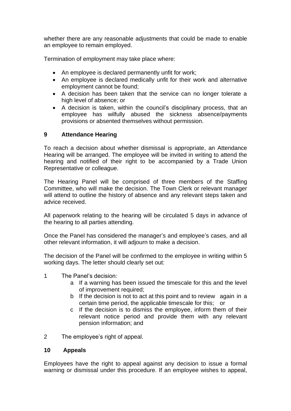whether there are any reasonable adjustments that could be made to enable an employee to remain employed.

Termination of employment may take place where:

- An employee is declared permanently unfit for work;
- An employee is declared medically unfit for their work and alternative employment cannot be found;
- A decision has been taken that the service can no longer tolerate a high level of absence; or
- A decision is taken, within the council's disciplinary process, that an employee has wilfully abused the sickness absence/payments provisions or absented themselves without permission.

## **9 Attendance Hearing**

To reach a decision about whether dismissal is appropriate, an Attendance Hearing will be arranged. The employee will be invited in writing to attend the hearing and notified of their right to be accompanied by a Trade Union Representative or colleague.

The Hearing Panel will be comprised of three members of the Staffing Committee, who will make the decision. The Town Clerk or relevant manager will attend to outline the history of absence and any relevant steps taken and advice received.

All paperwork relating to the hearing will be circulated 5 days in advance of the hearing to all parties attending.

Once the Panel has considered the manager's and employee's cases, and all other relevant information, it will adjourn to make a decision.

The decision of the Panel will be confirmed to the employee in writing within 5 working days. The letter should clearly set out:

- 1 The Panel's decision:
	- a If a warning has been issued the timescale for this and the level of improvement required;
	- b If the decision is not to act at this point and to review again in a certain time period, the applicable timescale for this; or
	- c If the decision is to dismiss the employee, inform them of their relevant notice period and provide them with any relevant pension information; and

2 The employee's right of appeal.

#### **10 Appeals**

Employees have the right to appeal against any decision to issue a formal warning or dismissal under this procedure. If an employee wishes to appeal,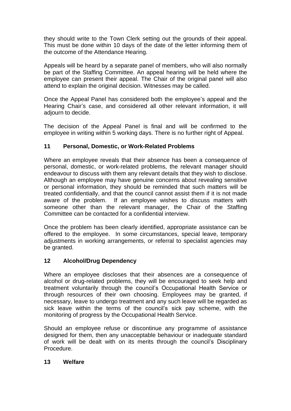they should write to the Town Clerk setting out the grounds of their appeal. This must be done within 10 days of the date of the letter informing them of the outcome of the Attendance Hearing.

Appeals will be heard by a separate panel of members, who will also normally be part of the Staffing Committee. An appeal hearing will be held where the employee can present their appeal. The Chair of the original panel will also attend to explain the original decision. Witnesses may be called.

Once the Appeal Panel has considered both the employee's appeal and the Hearing Chair's case, and considered all other relevant information, it will adjourn to decide.

The decision of the Appeal Panel is final and will be confirmed to the employee in writing within 5 working days. There is no further right of Appeal.

## **11 Personal, Domestic, or Work-Related Problems**

Where an employee reveals that their absence has been a consequence of personal, domestic, or work-related problems, the relevant manager should endeavour to discuss with them any relevant details that they wish to disclose. Although an employee may have genuine concerns about revealing sensitive or personal information, they should be reminded that such matters will be treated confidentially, and that the council cannot assist them if it is not made aware of the problem. If an employee wishes to discuss matters with someone other than the relevant manager, the Chair of the Staffing Committee can be contacted for a confidential interview.

Once the problem has been clearly identified, appropriate assistance can be offered to the employee. In some circumstances, special leave, temporary adjustments in working arrangements, or referral to specialist agencies may be granted.

## **12 Alcohol/Drug Dependency**

Where an employee discloses that their absences are a consequence of alcohol or drug-related problems, they will be encouraged to seek help and treatment voluntarily through the council's Occupational Health Service or through resources of their own choosing. Employees may be granted, if necessary, leave to undergo treatment and any such leave will be regarded as sick leave within the terms of the council's sick pay scheme, with the monitoring of progress by the Occupational Health Service.

Should an employee refuse or discontinue any programme of assistance designed for them, then any unacceptable behaviour or inadequate standard of work will be dealt with on its merits through the council's Disciplinary Procedure.

#### **13 Welfare**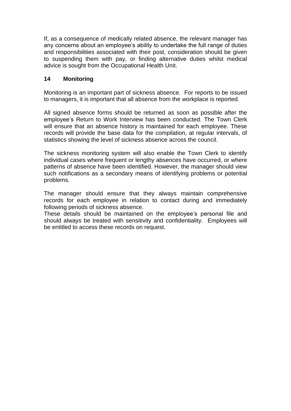If, as a consequence of medically related absence, the relevant manager has any concerns about an employee's ability to undertake the full range of duties and responsibilities associated with their post, consideration should be given to suspending them with pay, or finding alternative duties whilst medical advice is sought from the Occupational Health Unit.

# **14 Monitoring**

Monitoring is an important part of sickness absence. For reports to be issued to managers, it is important that all absence from the workplace is reported.

All signed absence forms should be returned as soon as possible after the employee's Return to Work Interview has been conducted. The Town Clerk will ensure that an absence history is maintained for each employee. These records will provide the base data for the compilation, at regular intervals, of statistics showing the level of sickness absence across the council.

The sickness monitoring system will also enable the Town Clerk to identify individual cases where frequent or lengthy absences have occurred, or where patterns of absence have been identified. However, the manager should view such notifications as a secondary means of identifying problems or potential problems.

The manager should ensure that they always maintain comprehensive records for each employee in relation to contact during and immediately following periods of sickness absence.

These details should be maintained on the employee's personal file and should always be treated with sensitivity and confidentiality. Employees will be entitled to access these records on request.